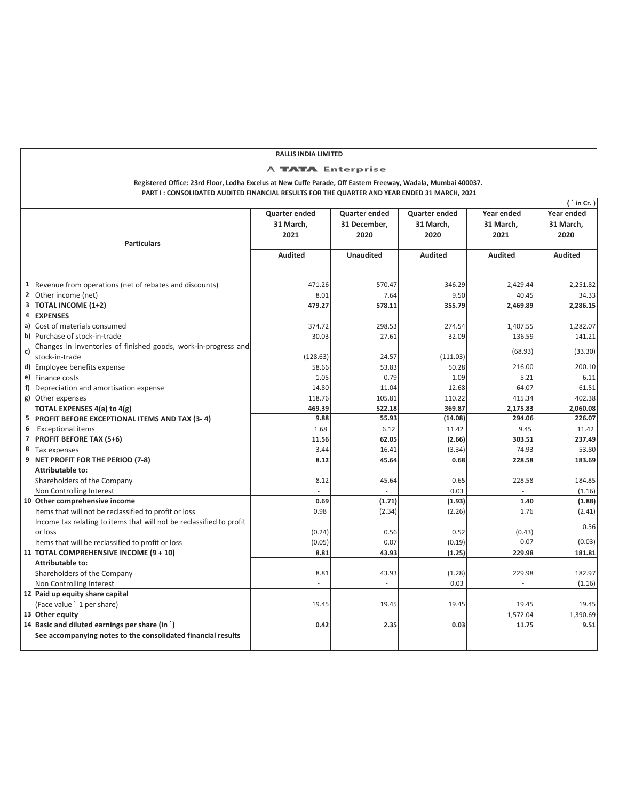|                         |                                                                                                               | RALLIS INDIA LIMITED |                  |                      |                |                |
|-------------------------|---------------------------------------------------------------------------------------------------------------|----------------------|------------------|----------------------|----------------|----------------|
|                         |                                                                                                               | A TATA Enterprise    |                  |                      |                |                |
|                         | Registered Office: 23rd Floor, Lodha Excelus at New Cuffe Parade, Off Eastern Freeway, Wadala, Mumbai 400037. |                      |                  |                      |                |                |
|                         | PART I: CONSOLIDATED AUDITED FINANCIAL RESULTS FOR THE QUARTER AND YEAR ENDED 31 MARCH, 2021                  |                      |                  |                      |                |                |
|                         |                                                                                                               |                      |                  |                      |                | ('in Cr.)      |
|                         |                                                                                                               | Quarter ended        | Quarter ended    | <b>Quarter ended</b> | Year ended     | Year ended     |
|                         |                                                                                                               | 31 March,            | 31 December,     | 31 March,            | 31 March,      | 31 March,      |
|                         | <b>Particulars</b>                                                                                            | 2021                 | 2020             | 2020                 | 2021           | 2020           |
|                         |                                                                                                               |                      |                  |                      |                |                |
|                         |                                                                                                               | <b>Audited</b>       | <b>Unaudited</b> | <b>Audited</b>       | <b>Audited</b> | <b>Audited</b> |
|                         |                                                                                                               |                      |                  |                      |                |                |
| 1                       | Revenue from operations (net of rebates and discounts)                                                        | 471.26               | 570.47           | 346.29               | 2.429.44       | 2.251.82       |
| $\overline{\mathbf{2}}$ | Other income (net)                                                                                            | 8.01                 | 7.64             | 9.50                 | 40.45          | 34.33          |
| 3                       | <b>TOTAL INCOME (1+2)</b>                                                                                     | 479.27               | 578.11           | 355.79               | 2,469.89       | 2,286.15       |
| 4                       | <b>EXPENSES</b>                                                                                               |                      |                  |                      |                |                |
| a)                      | Cost of materials consumed                                                                                    | 374.72               | 298.53           | 274.54               | 1,407.55       | 1,282.07       |
| b)                      | Purchase of stock-in-trade                                                                                    | 30.03                | 27.61            | 32.09                | 136.59         | 141.21         |
|                         | Changes in inventories of finished goods, work-in-progress and                                                |                      |                  |                      |                |                |
| c)                      | stock-in-trade                                                                                                | (128.63)             | 24.57            | (111.03)             | (68.93)        | (33.30)        |
| d)                      | Employee benefits expense                                                                                     | 58.66                | 53.83            | 50.28                | 216.00         | 200.10         |
| e)                      | <b>Finance costs</b>                                                                                          | 1.05                 | 0.79             | 1.09                 | 5.21           | 6.11           |
| f)                      | Depreciation and amortisation expense                                                                         | 14.80                | 11.04            | 12.68                | 64.07          | 61.51          |
| g)                      | Other expenses                                                                                                | 118.76               | 105.81           | 110.22               | 415.34         | 402.38         |
|                         | TOTAL EXPENSES 4(a) to 4(g)                                                                                   | 469.39               | 522.18           | 369.87               | 2,175.83       | 2,060.08       |
| 5                       | <b>PROFIT BEFORE EXCEPTIONAL ITEMS AND TAX (3-4)</b>                                                          | 9.88                 | 55.93            | (14.08)              | 294.06         | 226.07         |
| 6                       | <b>Exceptional items</b>                                                                                      | 1.68                 | 6.12             | 11.42                | 9.45           | 11.42          |
| $\overline{7}$          | <b>PROFIT BEFORE TAX (5+6)</b>                                                                                | 11.56                | 62.05            | (2.66)               | 303.51         | 237.49         |
| 8                       | Tax expenses                                                                                                  | 3.44                 | 16.41            | (3.34)               | 74.93          | 53.80          |
| 9                       | <b>NET PROFIT FOR THE PERIOD (7-8)</b>                                                                        | 8.12                 | 45.64            | 0.68                 | 228.58         | 183.69         |
|                         | Attributable to:                                                                                              |                      |                  |                      |                |                |
|                         | Shareholders of the Company                                                                                   | 8.12                 | 45.64            | 0.65                 | 228.58         | 184.85         |
|                         | Non Controlling Interest                                                                                      |                      |                  | 0.03                 |                | (1.16)         |
|                         | 10 Other comprehensive income                                                                                 | 0.69                 | (1.71)           | (1.93)               | 1.40           | (1.88)         |
|                         | Items that will not be reclassified to profit or loss                                                         | 0.98                 | (2.34)           | (2.26)               | 1.76           | (2.41)         |
|                         | Income tax relating to items that will not be reclassified to profit                                          |                      |                  |                      |                | 0.56           |
|                         | or loss                                                                                                       | (0.24)               | 0.56             | 0.52                 | (0.43)<br>0.07 |                |
|                         | Items that will be reclassified to profit or loss                                                             | (0.05)               | 0.07             | (0.19)               |                | (0.03)         |
|                         | 11   TOTAL COMPREHENSIVE INCOME (9 + 10)                                                                      | 8.81                 | 43.93            | (1.25)               | 229.98         | 181.81         |
|                         | Attributable to:                                                                                              |                      |                  |                      |                |                |
|                         | Shareholders of the Company                                                                                   | 8.81                 | 43.93            | (1.28)<br>0.03       | 229.98         | 182.97         |
|                         | Non Controlling Interest<br>12 Paid up equity share capital                                                   |                      |                  |                      |                | (1.16)         |
|                         | (Face value ` 1 per share)                                                                                    | 19.45                | 19.45            | 19.45                | 19.45          | 19.45          |
| 13                      | Other equity                                                                                                  |                      |                  |                      | 1,572.04       | 1.390.69       |
| 14                      | Basic and diluted earnings per share (in `)                                                                   | 0.42                 | 2.35             | 0.03                 | 11.75          | 9.51           |
|                         | See accompanying notes to the consolidated financial results                                                  |                      |                  |                      |                |                |
|                         |                                                                                                               |                      |                  |                      |                |                |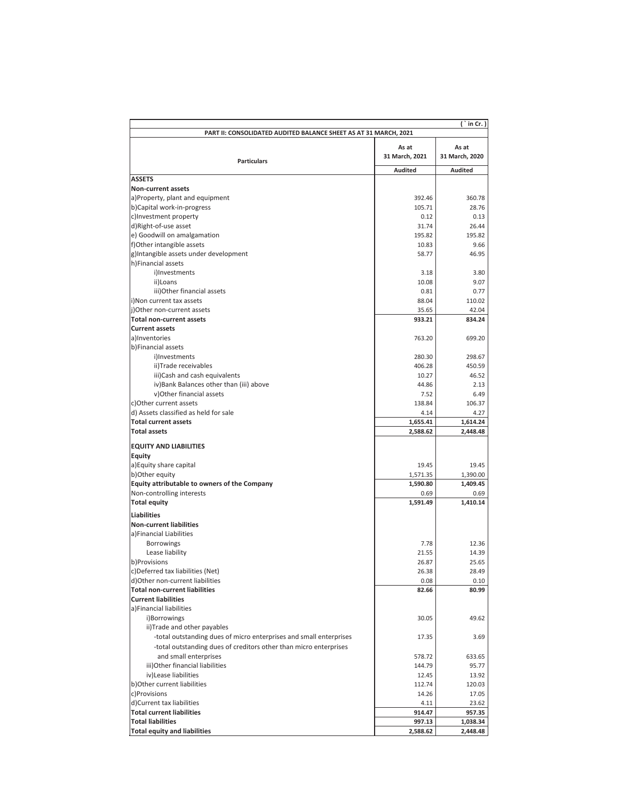| PART II: CONSOLIDATED AUDITED BALANCE SHEET AS AT 31 MARCH, 2021<br>As at<br>As at |                |                |  |  |  |
|------------------------------------------------------------------------------------|----------------|----------------|--|--|--|
| <b>Particulars</b>                                                                 | 31 March, 2021 | 31 March, 2020 |  |  |  |
|                                                                                    | <b>Audited</b> | <b>Audited</b> |  |  |  |
| <b>ASSETS</b>                                                                      |                |                |  |  |  |
| Non-current assets                                                                 |                |                |  |  |  |
| a)Property, plant and equipment                                                    | 392.46         | 360.78         |  |  |  |
| b)Capital work-in-progress                                                         | 105.71         | 28.76          |  |  |  |
| c)Investment property                                                              | 0.12           | 0.13           |  |  |  |
| d)Right-of-use asset                                                               | 31.74          | 26.44          |  |  |  |
| e) Goodwill on amalgamation                                                        | 195.82         | 195.82         |  |  |  |
| f)Other intangible assets                                                          | 10.83          | 9.66           |  |  |  |
| g)Intangible assets under development                                              | 58.77          | 46.95          |  |  |  |
| h)Financial assets                                                                 |                |                |  |  |  |
| i)Investments                                                                      | 3.18           | 3.80           |  |  |  |
| ii)Loans                                                                           | 10.08          | 9.07           |  |  |  |
| iii)Other financial assets                                                         | 0.81           | 0.77           |  |  |  |
| i)Non current tax assets                                                           | 88.04          | 110.02         |  |  |  |
| j)Other non-current assets                                                         | 35.65          | 42.04          |  |  |  |
| <b>Total non-current assets</b>                                                    | 933.21         | 834.24         |  |  |  |
| <b>Current assets</b>                                                              |                |                |  |  |  |
| a)Inventories                                                                      | 763.20         | 699.20         |  |  |  |
| b)Financial assets                                                                 |                |                |  |  |  |
| i)Investments                                                                      | 280.30         | 298.67         |  |  |  |
| ii)Trade receivables                                                               | 406.28         | 450.59         |  |  |  |
| iii)Cash and cash equivalents                                                      | 10.27          | 46.52          |  |  |  |
| iv) Bank Balances other than (iii) above                                           | 44.86          | 2.13           |  |  |  |
| v) Other financial assets                                                          | 7.52           | 6.49           |  |  |  |
| c)Other current assets                                                             | 138.84         | 106.37         |  |  |  |
| d) Assets classified as held for sale                                              | 4.14           | 4.27           |  |  |  |
| <b>Total current assets</b>                                                        | 1,655.41       | 1,614.24       |  |  |  |
| <b>Total assets</b>                                                                | 2,588.62       | 2,448.48       |  |  |  |
| <b>EQUITY AND LIABILITIES</b>                                                      |                |                |  |  |  |
| <b>Equity</b>                                                                      |                |                |  |  |  |
| a) Equity share capital                                                            | 19.45          | 19.45          |  |  |  |
| b)Other equity                                                                     | 1,571.35       | 1,390.00       |  |  |  |
| Equity attributable to owners of the Company                                       | 1,590.80       | 1,409.45       |  |  |  |
| Non-controlling interests                                                          | 0.69           | 0.69           |  |  |  |
| <b>Total equity</b>                                                                | 1,591.49       | 1,410.14       |  |  |  |
|                                                                                    |                |                |  |  |  |
| <b>Liabilities</b>                                                                 |                |                |  |  |  |
| <b>Non-current liabilities</b>                                                     |                |                |  |  |  |
| a)Financial Liabilities                                                            |                |                |  |  |  |
| Borrowings                                                                         | 7.78           | 12.36          |  |  |  |
| Lease liability                                                                    | 21.55          | 14.39          |  |  |  |
| b)Provisions                                                                       | 26.87          | 25.65          |  |  |  |
| c)Deferred tax liabilities (Net)                                                   | 26.38          | 28.49          |  |  |  |
| d)Other non-current liabilities                                                    | 0.08           | 0.10           |  |  |  |
| <b>Total non-current liabilities</b>                                               | 82.66          | 80.99          |  |  |  |
| <b>Current liabilities</b>                                                         |                |                |  |  |  |
| a)Financial liabilities                                                            |                |                |  |  |  |
| i)Borrowings                                                                       | 30.05          | 49.62          |  |  |  |
| ii)Trade and other payables                                                        |                |                |  |  |  |
| -total outstanding dues of micro enterprises and small enterprises                 | 17.35          | 3.69           |  |  |  |
| -total outstanding dues of creditors other than micro enterprises                  |                |                |  |  |  |
| and small enterprises                                                              | 578.72         | 633.65         |  |  |  |
| iii) Other financial liabilities                                                   | 144.79         | 95.77          |  |  |  |
| iv)Lease liabilities                                                               | 12.45          | 13.92          |  |  |  |
| b) Other current liabilities                                                       | 112.74         | 120.03         |  |  |  |
| c)Provisions                                                                       | 14.26          | 17.05          |  |  |  |
| d)Current tax liabilities                                                          | 4.11           | 23.62          |  |  |  |
| <b>Total current liabilities</b>                                                   | 914.47         | 957.35         |  |  |  |
| <b>Total liabilities</b>                                                           | 997.13         | 1,038.34       |  |  |  |
|                                                                                    |                |                |  |  |  |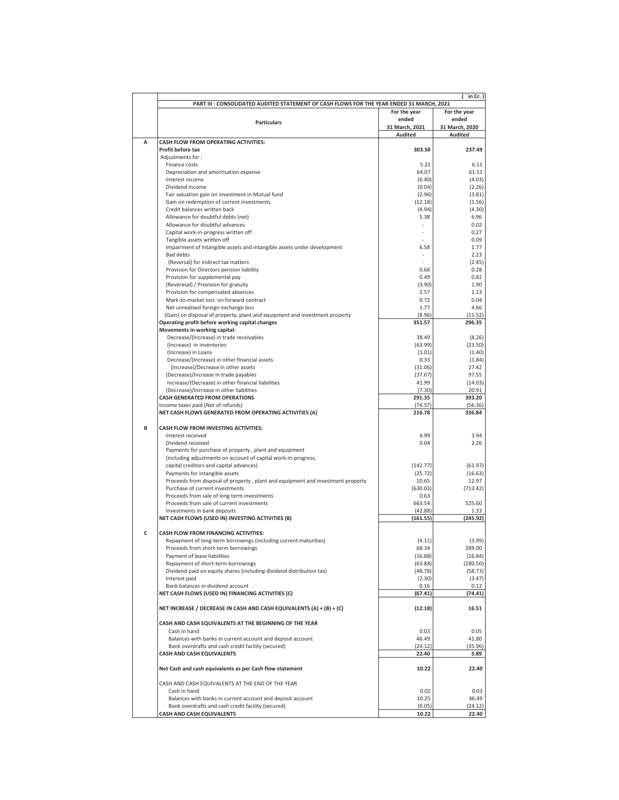|   | in Cr.)                                                                                   |                         |                         |  |  |  |
|---|-------------------------------------------------------------------------------------------|-------------------------|-------------------------|--|--|--|
|   | PART III : CONSOLIDATED AUDITED STATEMENT OF CASH FLOWS FOR THE YEAR ENDED 31 MARCH, 2021 |                         |                         |  |  |  |
|   |                                                                                           | For the year            | For the year            |  |  |  |
|   | <b>Particulars</b>                                                                        | ended<br>31 March, 2021 | ended<br>31 March, 2020 |  |  |  |
|   |                                                                                           | Audited                 | Audited                 |  |  |  |
| A | <b>CASH FLOW FROM OPERATING ACTIVITIES:</b>                                               |                         |                         |  |  |  |
|   | Profit before tax                                                                         | 303.50                  | 237.49                  |  |  |  |
|   | Adjustments for:                                                                          |                         |                         |  |  |  |
|   | Finance costs                                                                             | 5.21                    | 6.11                    |  |  |  |
|   | Depreciation and amortisation expense                                                     | 64.07                   | 61.51                   |  |  |  |
|   | Interest income                                                                           | (6.40)                  | (4.03)                  |  |  |  |
|   | Dividend income<br>Fair valuation gain on investment in Mutual fund                       | (0.04)<br>(2.96)        | (2.26)<br>(3.81)        |  |  |  |
|   | Gain on redemption of current investments                                                 | (12.18)                 | (1.56)                  |  |  |  |
|   | Credit balances written back                                                              | (4.94)                  | (4.30)                  |  |  |  |
|   | Allowance for doubtful debts (net)                                                        | 5.38                    | 6.96                    |  |  |  |
|   | Allowance for doubtful advances                                                           |                         | 0.02                    |  |  |  |
|   | Capital work-in-progress written off                                                      |                         | 0.27                    |  |  |  |
|   | Tangible assets written off                                                               |                         | 0.09                    |  |  |  |
|   | Impairment of Intangible assets and intangible assets under development                   | 6.58                    | 1.77                    |  |  |  |
|   | <b>Bad debts</b>                                                                          |                         | 2.23                    |  |  |  |
|   | (Reversal) for indirect tax matters                                                       |                         | (2.45)                  |  |  |  |
|   | Provision for Directors pension liability<br>Provision for supplemental pay               | 0.66<br>0.49            | 0.28<br>0.82            |  |  |  |
|   | (Reveresal) / Provision for gratuity                                                      | (3.90)                  | 1.90                    |  |  |  |
|   | Provision for compensated absences                                                        | 2.57                    | 2.13                    |  |  |  |
|   | Mark-to-market loss on forward contract                                                   | 0.72                    | 0.04                    |  |  |  |
|   | Net unrealised foreign exchange loss                                                      | 1.77                    | 4.66                    |  |  |  |
|   | (Gain) on disposal of property, plant and equipment and investment property               | (8.96)                  | (11.52)                 |  |  |  |
|   | Operating profit before working capital changes                                           | 351.57                  | 296.35                  |  |  |  |
|   | Movements in working capital:                                                             |                         |                         |  |  |  |
|   | Decrease/(Increase) in trade receivables                                                  | 38.49                   | (8.26)                  |  |  |  |
|   | (Increase) in inventories                                                                 | (63.99)                 | (23.50)                 |  |  |  |
|   | (Increase) in Loans                                                                       | (1.01)                  | (1.40)<br>(1.84)        |  |  |  |
|   | Decrease/(Increase) in other financial assets<br>(Increase)/Decrease in other assets      | 0.33<br>(31.06)         | 27.42                   |  |  |  |
|   | (Decrease)/Increase in trade payables                                                     | (37.67)                 | 97.55                   |  |  |  |
|   | Increase/(Decrease) in other financial liabilities                                        | 41.99                   | (14.03)                 |  |  |  |
|   | (Decrease)/Increase in other liabilities                                                  | (7.30)                  | 20.91                   |  |  |  |
|   | <b>CASH GENERATED FROM OPERATIONS</b>                                                     | 291.35                  | 393.20                  |  |  |  |
|   | Income taxes paid (Net of refunds)                                                        | (74.57)                 | (56.36)                 |  |  |  |
|   | NET CASH FLOWS GENERATED FROM OPERATING ACTIVITIES (A)                                    | 216.78                  | 336.84                  |  |  |  |
| B | CASH FLOW FROM INVESTING ACTIVITIES:                                                      |                         |                         |  |  |  |
|   | Interest received                                                                         | 4.99                    | 3.94                    |  |  |  |
|   | Dividend received                                                                         | 0.04                    | 2.26                    |  |  |  |
|   | Payments for purchase of property, plant and equipment                                    |                         |                         |  |  |  |
|   | (including adjustments on account of capital work-in-progress,                            |                         |                         |  |  |  |
|   | capital creditors and capital advances)                                                   | (142.77)                | (61.97)                 |  |  |  |
|   | Payments for intangible assets                                                            | (25.72)                 | (16.63)                 |  |  |  |
|   | Proceeds from disposal of property, plant and equipment and investment property           | 10.65                   | 12.97                   |  |  |  |
|   | Purchase of current investments                                                           | (630.03)                | (713.42)                |  |  |  |
|   | Proceeds from sale of long term investments<br>Proceeds from sale of current investments  | 0.63<br>663.54          | 525.60                  |  |  |  |
|   | Investments in bank deposits                                                              | (42.88)                 | 1.33                    |  |  |  |
|   | NET CASH FLOWS (USED IN) INVESTING ACTIVITIES (B)                                         | (161.55)                | (245.92)                |  |  |  |
|   |                                                                                           |                         |                         |  |  |  |
| c | CASH FLOW FROM FINANCING ACTIVITIES:                                                      |                         |                         |  |  |  |
|   | Repayment of long-term borrowings (including current maturities)                          | (4.11)                  | (3.99)                  |  |  |  |
|   | Proceeds from short-term borrowings                                                       | 68.34                   | 289.00                  |  |  |  |
|   | Payment of lease liabilities                                                              | (16.88)                 | (16.84)                 |  |  |  |
|   | Repayment of short-term borrowings                                                        | (63.84)                 | (280.50)                |  |  |  |
|   | Dividend paid on equity shares (including dividend distribution tax)<br>Interest paid     | (48.78)<br>(2.30)       | (58.73)<br>(3.47)       |  |  |  |
|   | Bank balances in dividend account                                                         | 0.16                    | 0.12                    |  |  |  |
|   | NET CASH FLOWS (USED IN) FINANCING ACTIVITIES (C)                                         | (67.41)                 | (74.41)                 |  |  |  |
|   |                                                                                           |                         |                         |  |  |  |
|   | NET INCREASE / DECREASE IN CASH AND CASH EQUIVALENTS (A) + (B) + (C)                      | (12.18)                 | 16.51                   |  |  |  |
|   | CASH AND CASH EQUIVALENTS AT THE BEGINNING OF THE YEAR                                    |                         |                         |  |  |  |
|   | Cash in hand                                                                              | 0.03                    | 0.05                    |  |  |  |
|   | Balances with banks in current account and deposit account                                | 46.49                   | 41.80                   |  |  |  |
|   | Bank overdrafts and cash credit facility (secured)                                        | (24.12)                 | (35.96)                 |  |  |  |
|   | <b>CASH AND CASH EQUIVALENTS</b>                                                          | 22.40                   | 5.89                    |  |  |  |
|   | Net Cash and cash equivalents as per Cash flow statement                                  | 10.22                   | 22.40                   |  |  |  |
|   | CASH AND CASH EQUIVALENTS AT THE END OF THE YEAR                                          |                         |                         |  |  |  |
|   | Cash in hand                                                                              | 0.02                    | 0.03                    |  |  |  |
|   | Balances with banks in current account and deposit account                                | 10.25                   | 46.49                   |  |  |  |
|   | Bank overdrafts and cash credit facility (secured)                                        | (0.05)                  | (24.12)                 |  |  |  |
|   | <b>CASH AND CASH EQUIVALENTS</b>                                                          | 10.22                   | 22.40                   |  |  |  |